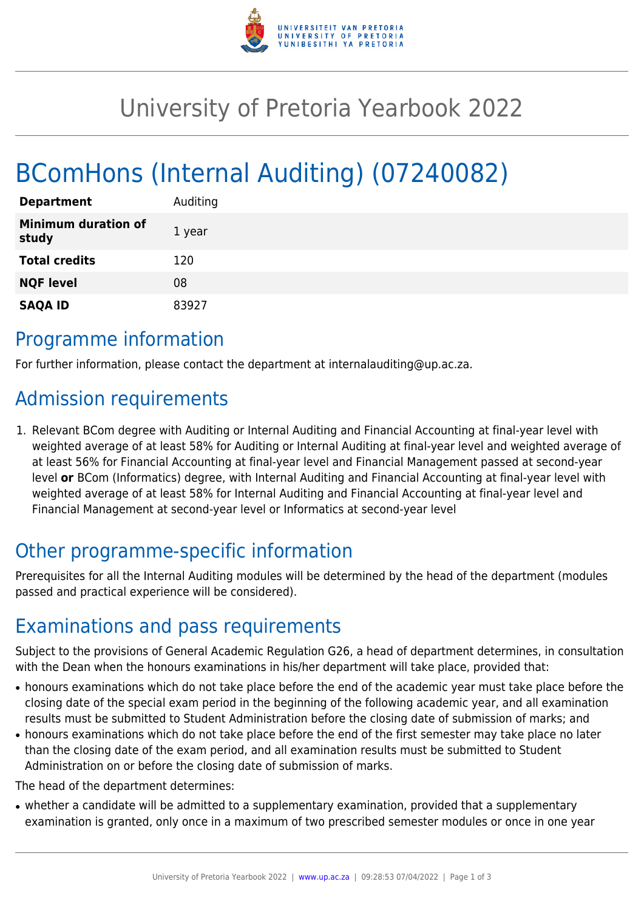

# University of Pretoria Yearbook 2022

# BComHons (Internal Auditing) (07240082)

| <b>Department</b>                   | Auditing |
|-------------------------------------|----------|
| <b>Minimum duration of</b><br>study | 1 year   |
| <b>Total credits</b>                | 120      |
| <b>NQF level</b>                    | 08       |
| <b>SAQA ID</b>                      | 83927    |

#### Programme information

For further information, please contact the department at internalauditing@up.ac.za.

### Admission requirements

1. Relevant BCom degree with Auditing or Internal Auditing and Financial Accounting at final-year level with weighted average of at least 58% for Auditing or Internal Auditing at final-year level and weighted average of at least 56% for Financial Accounting at final-year level and Financial Management passed at second-year level **or** BCom (Informatics) degree, with Internal Auditing and Financial Accounting at final-year level with weighted average of at least 58% for Internal Auditing and Financial Accounting at final-year level and Financial Management at second-year level or Informatics at second-year level

## Other programme-specific information

Prerequisites for all the Internal Auditing modules will be determined by the head of the department (modules passed and practical experience will be considered).

## Examinations and pass requirements

Subject to the provisions of General Academic Regulation G26, a head of department determines, in consultation with the Dean when the honours examinations in his/her department will take place, provided that:

- honours examinations which do not take place before the end of the academic year must take place before the closing date of the special exam period in the beginning of the following academic year, and all examination results must be submitted to Student Administration before the closing date of submission of marks; and
- honours examinations which do not take place before the end of the first semester may take place no later than the closing date of the exam period, and all examination results must be submitted to Student Administration on or before the closing date of submission of marks.

The head of the department determines:

• whether a candidate will be admitted to a supplementary examination, provided that a supplementary examination is granted, only once in a maximum of two prescribed semester modules or once in one year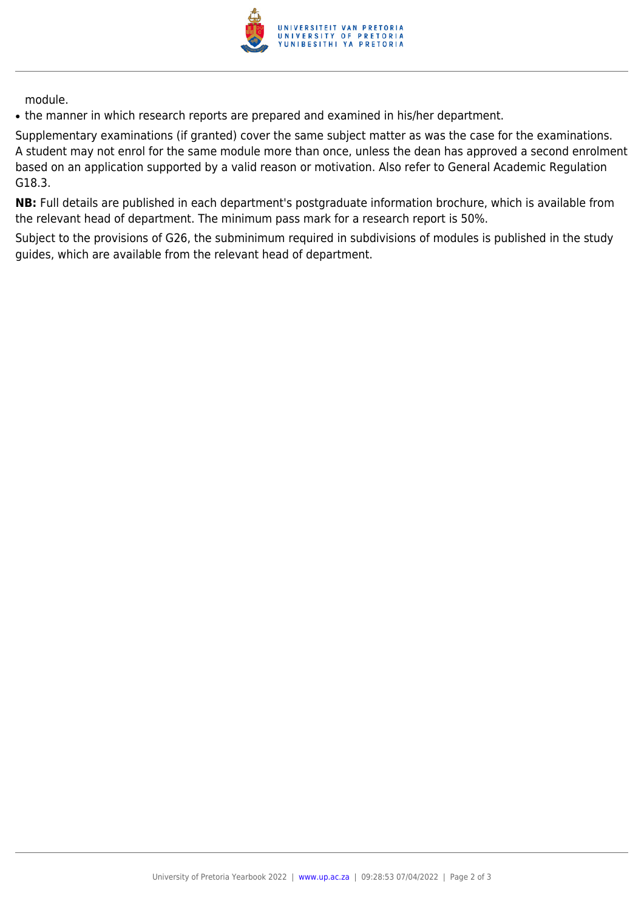

module.

• the manner in which research reports are prepared and examined in his/her department.

Supplementary examinations (if granted) cover the same subject matter as was the case for the examinations. A student may not enrol for the same module more than once, unless the dean has approved a second enrolment based on an application supported by a valid reason or motivation. Also refer to General Academic Regulation G18.3.

**NB:** Full details are published in each department's postgraduate information brochure, which is available from the relevant head of department. The minimum pass mark for a research report is 50%.

Subject to the provisions of G26, the subminimum required in subdivisions of modules is published in the study guides, which are available from the relevant head of department.